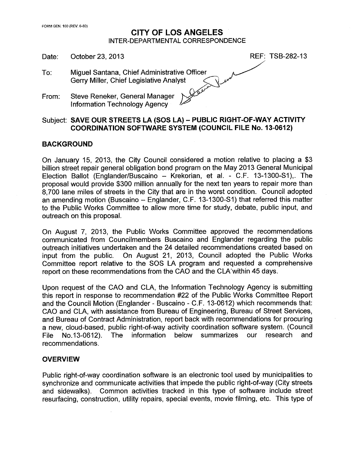### **CITY OF LOS ANGELES** INTER-DEPARTMENTAL CORRESPONDENCE

Date: October 23, 2013

- REF: TSB-282-13
- Miguel Santana, Chief Administrative Officer To: Gerry Miller, Chief Legislative Analyst
- Steve Reneker, General Manager From: **Information Technology Agency**

### Subject: SAVE OUR STREETS LA (SOS LA) - PUBLIC RIGHT-OF-WAY ACTIVITY **COORDINATION SOFTWARE SYSTEM (COUNCIL FILE No. 13-0612)**

### **BACKGROUND**

On January 15, 2013, the City Council considered a motion relative to placing a \$3 billion street repair general obligation bond program on the May 2013 General Municipal Election Ballot (Englander/Buscaino - Krekorian, et al. - C.F. 13-1300-S1), The proposal would provide \$300 million annually for the next ten years to repair more than 8,700 lane miles of streets in the City that are in the worst condition. Council adopted an amending motion (Buscaino - Englander, C.F. 13-1300-S1) that referred this matter to the Public Works Committee to allow more time for study, debate, public input, and outreach on this proposal.

On August 7, 2013, the Public Works Committee approved the recommendations communicated from Councilmembers Buscaino and Englander regarding the public outreach initiatives undertaken and the 24 detailed recommendations created based on On August 21, 2013, Council adopted the Public Works input from the public. Committee report relative to the SOS LA program and requested a comprehensive report on these recommendations from the CAO and the CLA within 45 days.

Upon request of the CAO and CLA, the Information Technology Agency is submitting this report in response to recommendation #22 of the Public Works Committee Report and the Council Motion (Englander - Buscaino - C.F. 13-0612) which recommends that: CAO and CLA, with assistance from Bureau of Engineering, Bureau of Street Services, and Bureau of Contract Administration, report back with recommendations for procuring a new, cloud-based, public right-of-way activity coordination software system. (Council below File No.13-0612). The information summarizes our research and recommendations.

### **OVERVIEW**

Public right-of-way coordination software is an electronic tool used by municipalities to synchronize and communicate activities that impede the public right-of-way (City streets Common activities tracked in this type of software include street and sidewalks). resurfacing, construction, utility repairs, special events, movie filming, etc. This type of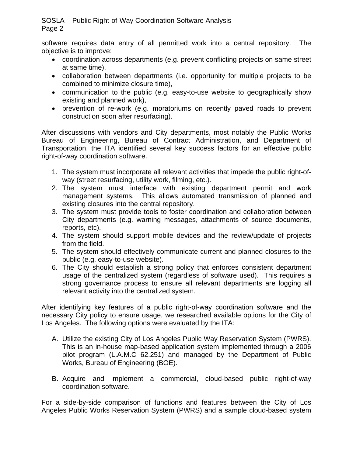software requires data entry of all permitted work into a central repository. The objective is to improve:

- coordination across departments (e.g. prevent conflicting projects on same street at same time),
- collaboration between departments (i.e. opportunity for multiple projects to be combined to minimize closure time),
- communication to the public (e.g. easy-to-use website to geographically show existing and planned work),
- prevention of re-work (e.g. moratoriums on recently paved roads to prevent construction soon after resurfacing).

After discussions with vendors and City departments, most notably the Public Works Bureau of Engineering, Bureau of Contract Administration, and Department of Transportation, the ITA identified several key success factors for an effective public right-of-way coordination software.

- 1. The system must incorporate all relevant activities that impede the public right-ofway (street resurfacing, utility work, filming, etc.).
- 2. The system must interface with existing department permit and work management systems. This allows automated transmission of planned and existing closures into the central repository.
- 3. The system must provide tools to foster coordination and collaboration between City departments (e.g. warning messages, attachments of source documents, reports, etc).
- 4. The system should support mobile devices and the review/update of projects from the field.
- 5. The system should effectively communicate current and planned closures to the public (e.g. easy-to-use website).
- 6. The City should establish a strong policy that enforces consistent department usage of the centralized system (regardless of software used). This requires a strong governance process to ensure all relevant departments are logging all relevant activity into the centralized system.

After identifying key features of a public right-of-way coordination software and the necessary City policy to ensure usage, we researched available options for the City of Los Angeles. The following options were evaluated by the ITA:

- A. Utilize the existing City of Los Angeles Public Way Reservation System (PWRS). This is an in-house map-based application system implemented through a 2006 pilot program (L.A.M.C 62.251) and managed by the Department of Public Works, Bureau of Engineering (BOE).
- B. Acquire and implement a commercial, cloud-based public right-of-way coordination software.

For a side-by-side comparison of functions and features between the City of Los Angeles Public Works Reservation System (PWRS) and a sample cloud-based system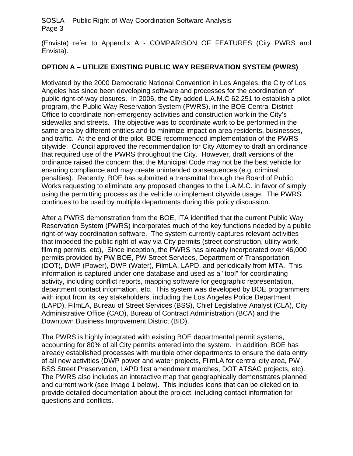(Envista) refer to Appendix A - COMPARISON OF FEATURES (City PWRS and Envista).

## **OPTION A – UTILIZE EXISTING PUBLIC WAY RESERVATION SYSTEM (PWRS)**

Motivated by the 2000 Democratic National Convention in Los Angeles, the City of Los Angeles has since been developing software and processes for the coordination of public right-of-way closures. In 2006, the City added L.A.M.C 62.251 to establish a pilot program, the Public Way Reservation System (PWRS), in the BOE Central District Office to coordinate non-emergency activities and construction work in the City's sidewalks and streets. The objective was to coordinate work to be performed in the same area by different entities and to minimize impact on area residents, businesses, and traffic. At the end of the pilot, BOE recommended implementation of the PWRS citywide. Council approved the recommendation for City Attorney to draft an ordinance that required use of the PWRS throughout the City. However, draft versions of the ordinance raised the concern that the Municipal Code may not be the best vehicle for ensuring compliance and may create unintended consequences (e.g. criminal penalties). Recently, BOE has submitted a transmittal through the Board of Public Works requesting to eliminate any proposed changes to the L.A.M.C. in favor of simply using the permitting process as the vehicle to implement citywide usage. The PWRS continues to be used by multiple departments during this policy discussion.

After a PWRS demonstration from the BOE, ITA identified that the current Public Way Reservation System (PWRS) incorporates much of the key functions needed by a public right-of-way coordination software. The system currently captures relevant activities that impeded the public right-of-way via City permits (street construction, utility work, filming permits, etc), Since inception, the PWRS has already incorporated over 46,000 permits provided by PW BOE, PW Street Services, Department of Transportation (DOT), DWP (Power), DWP (Water), FilmLA, LAPD, and periodically from MTA. This information is captured under one database and used as a "tool" for coordinating activity, including conflict reports, mapping software for geographic representation, department contact information, etc. This system was developed by BOE programmers with input from its key stakeholders, including the Los Angeles Police Department (LAPD), FilmLA, Bureau of Street Services (BSS), Chief Legislative Analyst (CLA), City Administrative Office (CAO), Bureau of Contract Administration (BCA) and the Downtown Business Improvement District (BID).

The PWRS is highly integrated with existing BOE departmental permit systems, accounting for 80% of all City permits entered into the system. In addition, BOE has already established processes with multiple other departments to ensure the data entry of all new activities (DWP power and water projects, FilmLA for central city area, PW BSS Street Preservation, LAPD first amendment marches, DOT ATSAC projects, etc). The PWRS also includes an interactive map that geographically demonstrates planned and current work (see Image 1 below). This includes icons that can be clicked on to provide detailed documentation about the project, including contact information for questions and conflicts.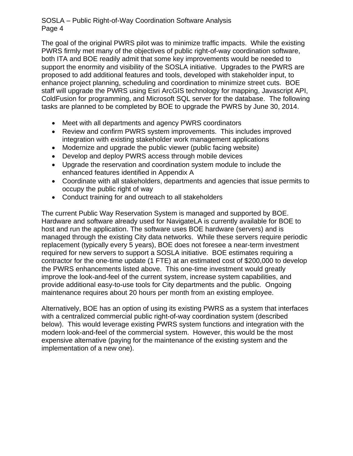The goal of the original PWRS pilot was to minimize traffic impacts. While the existing PWRS firmly met many of the objectives of public right-of-way coordination software, both ITA and BOE readily admit that some key improvements would be needed to support the enormity and visibility of the SOSLA initiative. Upgrades to the PWRS are proposed to add additional features and tools, developed with stakeholder input, to enhance project planning, scheduling and coordination to minimize street cuts. BOE staff will upgrade the PWRS using Esri ArcGIS technology for mapping, Javascript API, ColdFusion for programming, and Microsoft SQL server for the database. The following tasks are planned to be completed by BOE to upgrade the PWRS by June 30, 2014.

- Meet with all departments and agency PWRS coordinators
- Review and confirm PWRS system improvements. This includes improved integration with existing stakeholder work management applications
- Modernize and upgrade the public viewer (public facing website)
- Develop and deploy PWRS access through mobile devices
- Upgrade the reservation and coordination system module to include the enhanced features identified in Appendix A
- Coordinate with all stakeholders, departments and agencies that issue permits to occupy the public right of way
- Conduct training for and outreach to all stakeholders

The current Public Way Reservation System is managed and supported by BOE. Hardware and software already used for NavigateLA is currently available for BOE to host and run the application. The software uses BOE hardware (servers) and is managed through the existing City data networks. While these servers require periodic replacement (typically every 5 years), BOE does not foresee a near-term investment required for new servers to support a SOSLA initiative. BOE estimates requiring a contractor for the one-time update (1 FTE) at an estimated cost of \$200,000 to develop the PWRS enhancements listed above. This one-time investment would greatly improve the look-and-feel of the current system, increase system capabilities, and provide additional easy-to-use tools for City departments and the public. Ongoing maintenance requires about 20 hours per month from an existing employee.

Alternatively, BOE has an option of using its existing PWRS as a system that interfaces with a centralized commercial public right-of-way coordination system (described below). This would leverage existing PWRS system functions and integration with the modern look-and-feel of the commercial system. However, this would be the most expensive alternative (paying for the maintenance of the existing system and the implementation of a new one).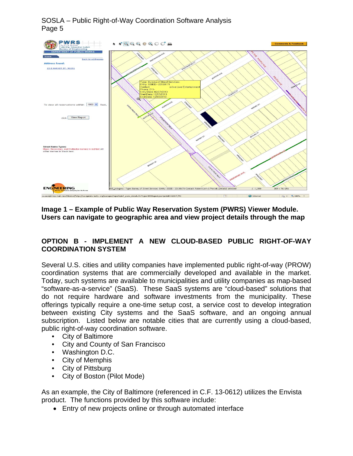

## **Image 1 – Example of Public Way Reservation System (PWRS) Viewer Module. Users can navigate to geographic area and view project details through the map**

# **OPTION B - IMPLEMENT A NEW CLOUD-BASED PUBLIC RIGHT-OF-WAY COORDINATION SYSTEM**

Several U.S. cities and utility companies have implemented public right-of-way (PROW) coordination systems that are commercially developed and available in the market. Today, such systems are available to municipalities and utility companies as map-based "software-as-a-service" (SaaS). These SaaS systems are "cloud-based" solutions that do not require hardware and software investments from the municipality. These offerings typically require a one-time setup cost, a service cost to develop integration between existing City systems and the SaaS software, and an ongoing annual subscription. Listed below are notable cities that are currently using a cloud-based, public right-of-way coordination software.

- City of Baltimore
- City and County of San Francisco
- Washington D.C.
- City of Memphis
- City of Pittsburg
- City of Boston (Pilot Mode)

As an example, the City of Baltimore (referenced in C.F. 13-0612) utilizes the Envista product. The functions provided by this software include:

Entry of new projects online or through automated interface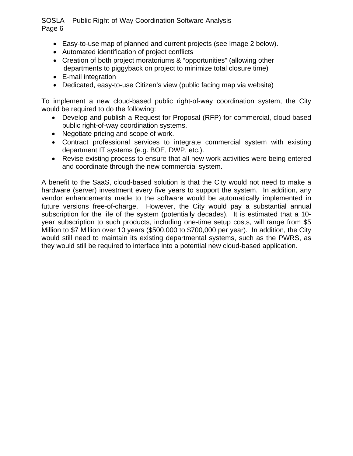- Easy-to-use map of planned and current projects (see Image 2 below).
- Automated identification of project conflicts
- Creation of both project moratoriums & "opportunities" (allowing other departments to piggyback on project to minimize total closure time)
- E-mail integration
- Dedicated, easy-to-use Citizen's view (public facing map via website)

To implement a new cloud-based public right-of-way coordination system, the City would be required to do the following:

- Develop and publish a Request for Proposal (RFP) for commercial, cloud-based public right-of-way coordination systems.
- Negotiate pricing and scope of work.
- Contract professional services to integrate commercial system with existing department IT systems (e.g. BOE, DWP, etc.).
- Revise existing process to ensure that all new work activities were being entered and coordinate through the new commercial system.

A benefit to the SaaS, cloud-based solution is that the City would not need to make a hardware (server) investment every five years to support the system. In addition, any vendor enhancements made to the software would be automatically implemented in future versions free-of-charge. However, the City would pay a substantial annual subscription for the life of the system (potentially decades). It is estimated that a 10 year subscription to such products, including one-time setup costs, will range from \$5 Million to \$7 Million over 10 years (\$500,000 to \$700,000 per year). In addition, the City would still need to maintain its existing departmental systems, such as the PWRS, as they would still be required to interface into a potential new cloud-based application.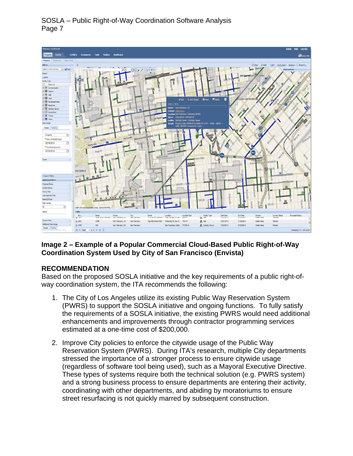

# **Image 2 – Example of a Popular Commercial Cloud-Based Public Right-of-Way Coordination System Used by City of San Francisco (Envista)**

# **RECOMMENDATION**

Based on the proposed SOSLA initiative and the key requirements of a public right-ofway coordination system, the ITA recommends the following:

- 1. The City of Los Angeles utilize its existing Public Way Reservation System (PWRS) to support the SOSLA initiative and ongoing functions. To fully satisfy the requirements of a SOSLA initiative, the existing PWRS would need additional enhancements and improvements through contractor programming services estimated at a one-time cost of \$200,000.
- 2. Improve City policies to enforce the citywide usage of the Public Way Reservation System (PWRS). During ITA's research, multiple City departments stressed the importance of a stronger process to ensure citywide usage (regardless of software tool being used), such as a Mayoral Executive Directive. These types of systems require both the technical solution (e.g. PWRS system) and a strong business process to ensure departments are entering their activity, coordinating with other departments, and abiding by moratoriums to ensure street resurfacing is not quickly marred by subsequent construction.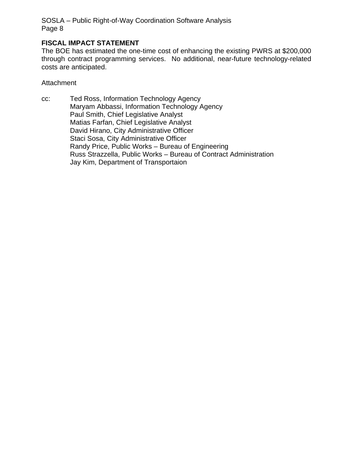## **FISCAL IMPACT STATEMENT**

The BOE has estimated the one-time cost of enhancing the existing PWRS at \$200,000 through contract programming services. No additional, near-future technology-related costs are anticipated.

**Attachment** 

cc: Ted Ross, Information Technology Agency Maryam Abbassi, Information Technology Agency Paul Smith, Chief Legislative Analyst Matias Farfan, Chief Legislative Analyst David Hirano, City Administrative Officer Staci Sosa, City Administrative Officer Randy Price, Public Works – Bureau of Engineering Russ Strazzella, Public Works – Bureau of Contract Administration Jay Kim, Department of Transportaion